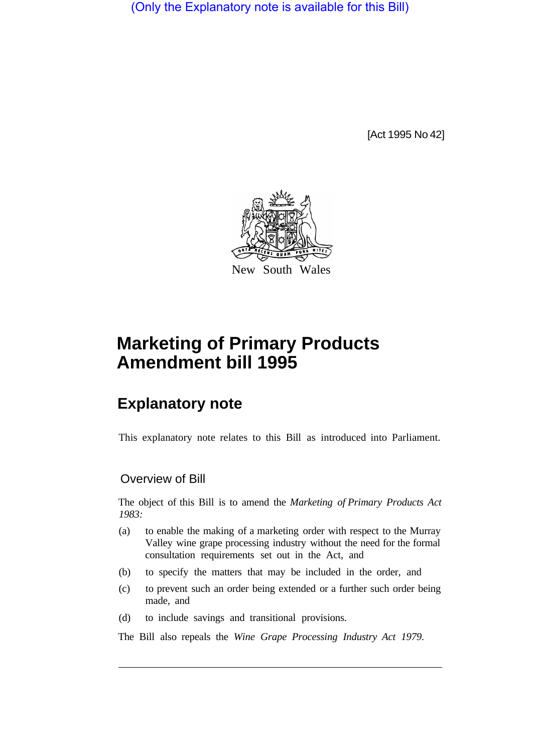(Only the Explanatory note is available for this Bill)

[Act 1995 No 42]



# **Marketing of Primary Products Amendment bill 1995**

## **Explanatory note**

This explanatory note relates to this Bill as introduced into Parliament.

## Overview of Bill

The object of this Bill is to amend the *Marketing of Primary Products Act 1983:* 

- (a) to enable the making of a marketing order with respect to the Murray Valley wine grape processing industry without the need for the formal consultation requirements set out in the Act, and
- (b) to specify the matters that may be included in the order, and
- (c) to prevent such an order being extended or a further such order being made, and
- (d) to include savings and transitional provisions.

The Bill also repeals the *Wine Grape Processing Industry Act 1979.*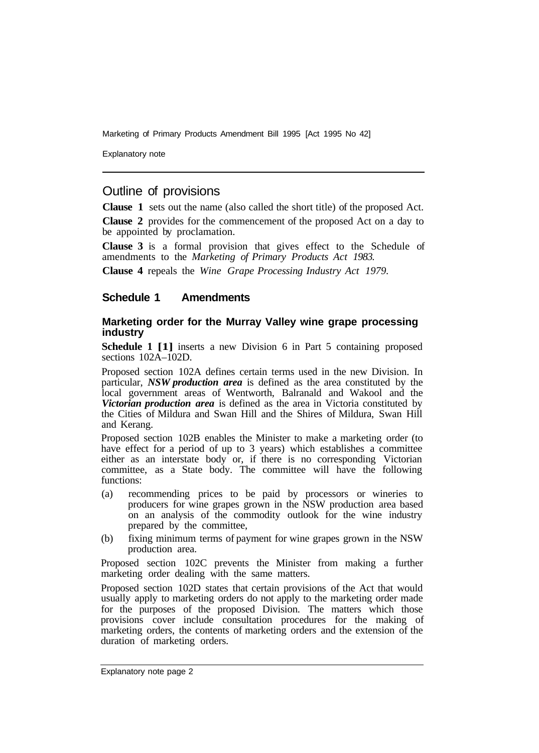Marketing of Primary Products Amendment Bill 1995 [Act 1995 No 42]

Explanatory note

## Outline of provisions

**Clause 1** sets out the name (also called the short title) of the proposed Act.

**Clause 2** provides for the commencement of the proposed Act on a day to be appointed by proclamation.

**Clause 3** is a formal provision that gives effect to the Schedule of amendments to the *Marketing of Primary Products Act 1983.* 

**Clause 4** repeals the *Wine Grape Processing Industry Act 1979.* 

### **Schedule 1 Amendments**

#### **Marketing order for the Murray Valley wine grape processing industry**

**Schedule 1 [1]** inserts a new Division 6 in Part 5 containing proposed sections 102A–102D.

Proposed section 102A defines certain terms used in the new Division. In particular, *NSW production area* is defined as the area constituted by the local government areas of Wentworth, Balranald and Wakool and the *Victorian production area* is defined as the area in Victoria constituted by the Cities of Mildura and Swan Hill and the Shires of Mildura, Swan Hill and Kerang.

Proposed section 102B enables the Minister to make a marketing order (to have effect for a period of up to 3 years) which establishes a committee either as an interstate body or, if there is no corresponding Victorian committee, as a State body. The committee will have the following functions:

- (a) recommending prices to be paid by processors or wineries to producers for wine grapes grown in the NSW production area based on an analysis of the commodity outlook for the wine industry prepared by the committee,
- (b) fixing minimum terms of payment for wine grapes grown in the NSW production area.

Proposed section 102C prevents the Minister from making a further marketing order dealing with the same matters.

Proposed section 102D states that certain provisions of the Act that would usually apply to marketing orders do not apply to the marketing order made for the purposes of the proposed Division. The matters which those provisions cover include consultation procedures for the making of marketing orders, the contents of marketing orders and the extension of the duration of marketing orders.

Explanatory note page 2